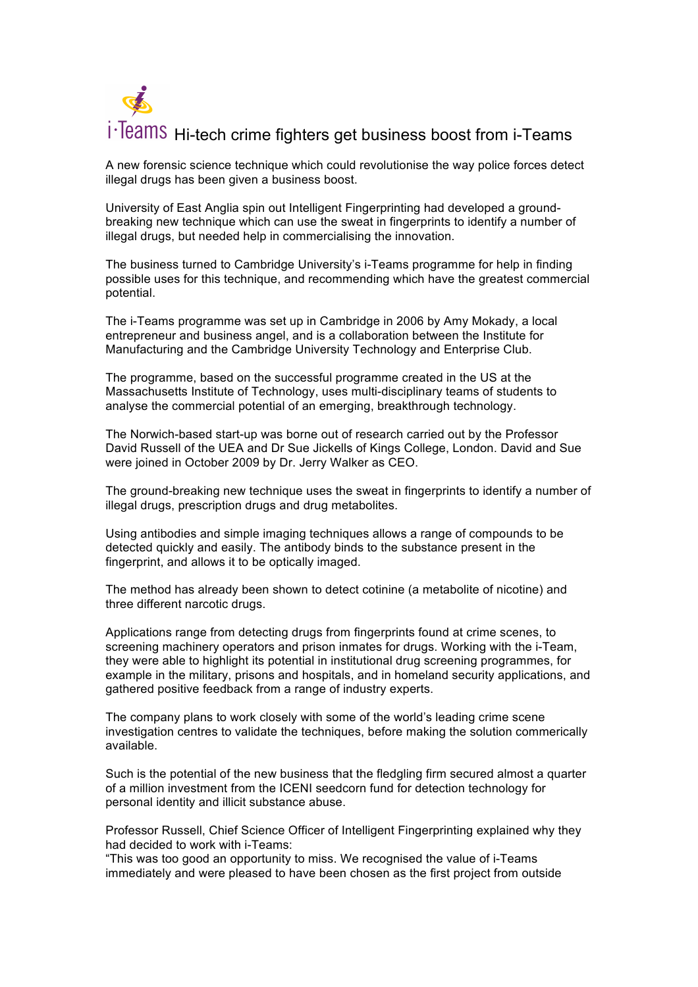## i · Teams Hi-tech crime fighters get business boost from i-Teams

A new forensic science technique which could revolutionise the way police forces detect illegal drugs has been given a business boost.

University of East Anglia spin out Intelligent Fingerprinting had developed a groundbreaking new technique which can use the sweat in fingerprints to identify a number of illegal drugs, but needed help in commercialising the innovation.

The business turned to Cambridge University's i-Teams programme for help in finding possible uses for this technique, and recommending which have the greatest commercial potential.

The i-Teams programme was set up in Cambridge in 2006 by Amy Mokady, a local entrepreneur and business angel, and is a collaboration between the Institute for Manufacturing and the Cambridge University Technology and Enterprise Club.

The programme, based on the successful programme created in the US at the Massachusetts Institute of Technology, uses multi-disciplinary teams of students to analyse the commercial potential of an emerging, breakthrough technology.

The Norwich-based start-up was borne out of research carried out by the Professor David Russell of the UEA and Dr Sue Jickells of Kings College, London. David and Sue were joined in October 2009 by Dr. Jerry Walker as CEO.

The ground-breaking new technique uses the sweat in fingerprints to identify a number of illegal drugs, prescription drugs and drug metabolites.

Using antibodies and simple imaging techniques allows a range of compounds to be detected quickly and easily. The antibody binds to the substance present in the fingerprint, and allows it to be optically imaged.

The method has already been shown to detect cotinine (a metabolite of nicotine) and three different narcotic drugs.

Applications range from detecting drugs from fingerprints found at crime scenes, to screening machinery operators and prison inmates for drugs. Working with the i-Team, they were able to highlight its potential in institutional drug screening programmes, for example in the military, prisons and hospitals, and in homeland security applications, and gathered positive feedback from a range of industry experts.

The company plans to work closely with some of the world's leading crime scene investigation centres to validate the techniques, before making the solution commerically available.

Such is the potential of the new business that the fledgling firm secured almost a quarter of a million investment from the ICENI seedcorn fund for detection technology for personal identity and illicit substance abuse.

Professor Russell, Chief Science Officer of Intelligent Fingerprinting explained why they had decided to work with i-Teams:

"This was too good an opportunity to miss. We recognised the value of i-Teams immediately and were pleased to have been chosen as the first project from outside